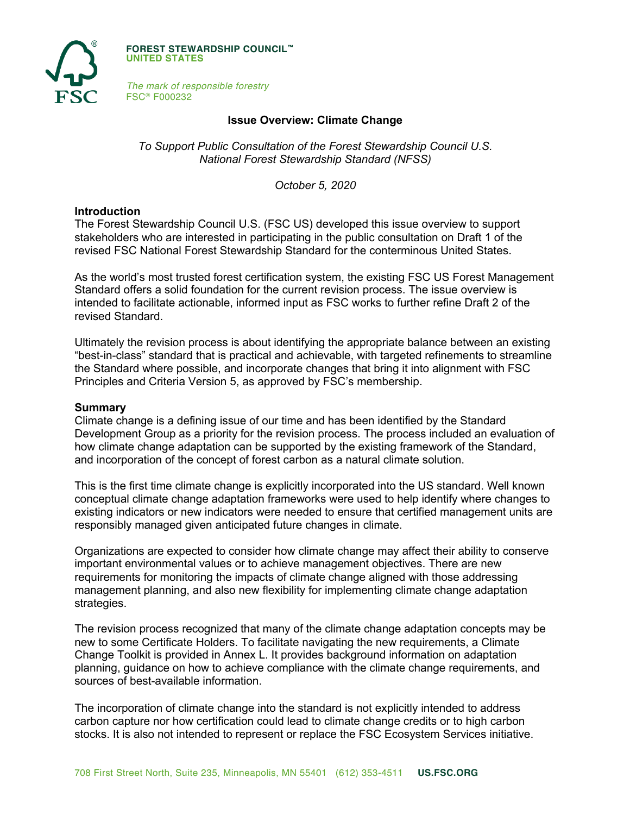

**FOREST STEWARDSHIP COUNCIL™ UNITED STATES**

*The mark of responsible forestry* FSC® F000232

## **Issue Overview: Climate Change**

*To Support Public Consultation of the Forest Stewardship Council U.S. National Forest Stewardship Standard (NFSS)*

*October 5, 2020*

#### **Introduction**

The Forest Stewardship Council U.S. (FSC US) developed this issue overview to support stakeholders who are interested in participating in the public consultation on Draft 1 of the revised FSC National Forest Stewardship Standard for the conterminous United States.

As the world's most trusted forest certification system, the existing FSC US Forest Management Standard offers a solid foundation for the current revision process. The issue overview is intended to facilitate actionable, informed input as FSC works to further refine Draft 2 of the revised Standard.

Ultimately the revision process is about identifying the appropriate balance between an existing "best-in-class" standard that is practical and achievable, with targeted refinements to streamline the Standard where possible, and incorporate changes that bring it into alignment with FSC Principles and Criteria Version 5, as approved by FSC's membership.

#### **Summary**

Climate change is a defining issue of our time and has been identified by the Standard Development Group as a priority for the revision process. The process included an evaluation of how climate change adaptation can be supported by the existing framework of the Standard, and incorporation of the concept of forest carbon as a natural climate solution.

This is the first time climate change is explicitly incorporated into the US standard. Well known conceptual climate change adaptation frameworks were used to help identify where changes to existing indicators or new indicators were needed to ensure that certified management units are responsibly managed given anticipated future changes in climate.

Organizations are expected to consider how climate change may affect their ability to conserve important environmental values or to achieve management objectives. There are new requirements for monitoring the impacts of climate change aligned with those addressing management planning, and also new flexibility for implementing climate change adaptation strategies.

The revision process recognized that many of the climate change adaptation concepts may be new to some Certificate Holders. To facilitate navigating the new requirements, a Climate Change Toolkit is provided in Annex L. It provides background information on adaptation planning, guidance on how to achieve compliance with the climate change requirements, and sources of best-available information.

The incorporation of climate change into the standard is not explicitly intended to address carbon capture nor how certification could lead to climate change credits or to high carbon stocks. It is also not intended to represent or replace the FSC Ecosystem Services initiative.